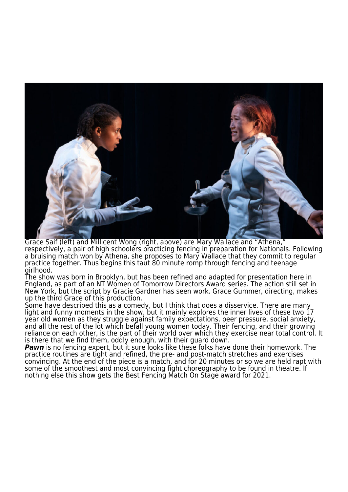

Grace Saif (left) and Millicent Wong (right, above) are Mary Wallace and "Athena," respectively, a pair of high schoolers practicing fencing in preparation for Nationals. Following a bruising match won by Athena, she proposes to Mary Wallace that they commit to regular practice together. Thus begins this taut 80 minute romp through fencing and teenage girlhood.

The show was born in Brooklyn, but has been refined and adapted for presentation here in England, as part of an NT Women of Tomorrow Directors Award series. The action still set in New York, but the script by Gracie Gardner has seen work. Grace Gummer, directing, makes up the third Grace of this production.

Some have described this as a comedy, but I think that does a disservice. There are many light and funny moments in the show, but it mainly explores the inner lives of these two 17 year old women as they struggle against family expectations, peer pressure, social anxiety, and all the rest of the lot which befall young women today. Their fencing, and their growing reliance on each other, is the part of their world over which they exercise near total control. It is there that we find them, oddly enough, with their guard down.

*Pawn* is no fencing expert, but it sure looks like these folks have done their homework. The practice routines are tight and refined, the pre- and post-match stretches and exercises convincing. At the end of the piece is a match, and for 20 minutes or so we are held rapt with some of the smoothest and most convincing fight choreography to be found in theatre. If nothing else this show gets the Best Fencing Match On Stage award for 2021.